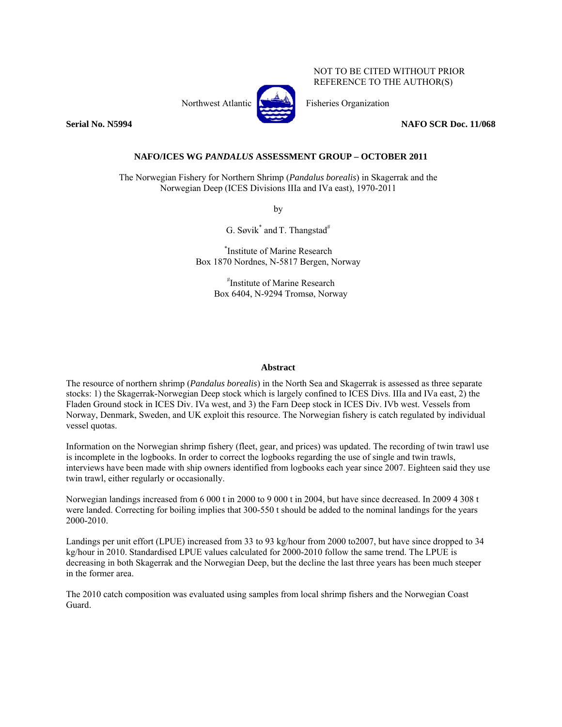

NOT TO BE CITED WITHOUT PRIOR REFERENCE TO THE AUTHOR(S)

Northwest Atlantic  $\begin{bmatrix} 1 & 1 \\ 1 & 1 \end{bmatrix}$  Fisheries Organization

**Serial No. N5994 NAFO SCR Doc. 11/068** 

**NAFO/ICES WG** *PANDALUS* **ASSESSMENT GROUP – OCTOBER 2011** 

The Norwegian Fishery for Northern Shrimp (*Pandalus borealis*) in Skagerrak and the Norwegian Deep (ICES Divisions IIIa and IVa east), 1970-2011

by

G. Søvik $^*$  and T. Thangstad $^{\#}$ 

\* Institute of Marine Research Box 1870 Nordnes, N-5817 Bergen, Norway

> # Institute of Marine Research Box 6404, N-9294 Tromsø, Norway

# **Abstract**

The resource of northern shrimp (*Pandalus borealis*) in the North Sea and Skagerrak is assessed as three separate stocks: 1) the Skagerrak-Norwegian Deep stock which is largely confined to ICES Divs. IIIa and IVa east, 2) the Fladen Ground stock in ICES Div. IVa west, and 3) the Farn Deep stock in ICES Div. IVb west. Vessels from Norway, Denmark, Sweden, and UK exploit this resource. The Norwegian fishery is catch regulated by individual vessel quotas.

Information on the Norwegian shrimp fishery (fleet, gear, and prices) was updated. The recording of twin trawl use is incomplete in the logbooks. In order to correct the logbooks regarding the use of single and twin trawls, interviews have been made with ship owners identified from logbooks each year since 2007. Eighteen said they use twin trawl, either regularly or occasionally.

Norwegian landings increased from 6 000 t in 2000 to 9 000 t in 2004, but have since decreased. In 2009 4 308 t were landed. Correcting for boiling implies that 300-550 t should be added to the nominal landings for the years 2000-2010.

Landings per unit effort (LPUE) increased from 33 to 93 kg/hour from 2000 to2007, but have since dropped to 34 kg/hour in 2010. Standardised LPUE values calculated for 2000-2010 follow the same trend. The LPUE is decreasing in both Skagerrak and the Norwegian Deep, but the decline the last three years has been much steeper in the former area.

The 2010 catch composition was evaluated using samples from local shrimp fishers and the Norwegian Coast Guard.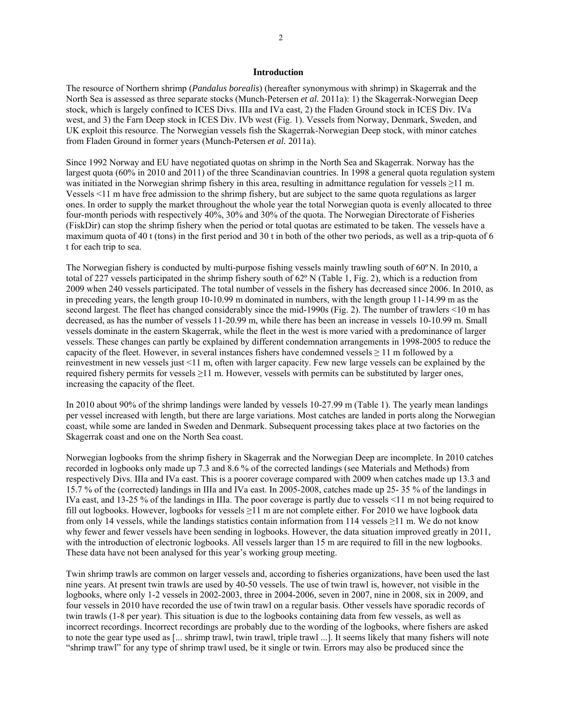#### **Introduction**

The resource of Northern shrimp (*Pandalus borealis*) (hereafter synonymous with shrimp) in Skagerrak and the North Sea is assessed as three separate stocks (Munch-Petersen *et al.* 2011a): 1) the Skagerrak-Norwegian Deep stock, which is largely confined to ICES Divs. IIIa and IVa east, 2) the Fladen Ground stock in ICES Div. IVa west, and 3) the Farn Deep stock in ICES Div. IVb west (Fig. 1). Vessels from Norway, Denmark, Sweden, and UK exploit this resource. The Norwegian vessels fish the Skagerrak-Norwegian Deep stock, with minor catches from Fladen Ground in former years (Munch-Petersen *et al.* 2011a).

Since 1992 Norway and EU have negotiated quotas on shrimp in the North Sea and Skagerrak. Norway has the largest quota (60% in 2010 and 2011) of the three Scandinavian countries. In 1998 a general quota regulation system was initiated in the Norwegian shrimp fishery in this area, resulting in admittance regulation for vessels ≥11 m. Vessels <11 m have free admission to the shrimp fishery, but are subject to the same quota regulations as larger ones. In order to supply the market throughout the whole year the total Norwegian quota is evenly allocated to three four-month periods with respectively 40%, 30% and 30% of the quota. The Norwegian Directorate of Fisheries (FiskDir) can stop the shrimp fishery when the period or total quotas are estimated to be taken. The vessels have a maximum quota of 40 t (tons) in the first period and 30 t in both of the other two periods, as well as a trip-quota of 6 t for each trip to sea.

The Norwegian fishery is conducted by multi-purpose fishing vessels mainly trawling south of 60º N. In 2010, a total of 227 vessels participated in the shrimp fishery south of 62º N (Table 1, Fig. 2), which is a reduction from 2009 when 240 vessels participated. The total number of vessels in the fishery has decreased since 2006. In 2010, as in preceding years, the length group 10-10.99 m dominated in numbers, with the length group 11-14.99 m as the second largest. The fleet has changed considerably since the mid-1990s (Fig. 2). The number of trawlers <10 m has decreased, as has the number of vessels 11-20.99 m, while there has been an increase in vessels 10-10.99 m. Small vessels dominate in the eastern Skagerrak, while the fleet in the west is more varied with a predominance of larger vessels. These changes can partly be explained by different condemnation arrangements in 1998-2005 to reduce the capacity of the fleet. However, in several instances fishers have condemned vessels  $\geq 11$  m followed by a reinvestment in new vessels just <11 m, often with larger capacity. Few new large vessels can be explained by the required fishery permits for vessels ≥11 m. However, vessels with permits can be substituted by larger ones, increasing the capacity of the fleet.

In 2010 about 90% of the shrimp landings were landed by vessels 10-27.99 m (Table 1). The yearly mean landings per vessel increased with length, but there are large variations. Most catches are landed in ports along the Norwegian coast, while some are landed in Sweden and Denmark. Subsequent processing takes place at two factories on the Skagerrak coast and one on the North Sea coast.

Norwegian logbooks from the shrimp fishery in Skagerrak and the Norwegian Deep are incomplete. In 2010 catches recorded in logbooks only made up 7.3 and 8.6 % of the corrected landings (see Materials and Methods) from respectively Divs. IIIa and IVa east. This is a poorer coverage compared with 2009 when catches made up 13.3 and 15.7 % of the (corrected) landings in IIIa and IVa east. In 2005-2008, catches made up 25- 35 % of the landings in IVa east, and 13-25 % of the landings in IIIa. The poor coverage is partly due to vessels <11 m not being required to fill out logbooks. However, logbooks for vessels ≥11 m are not complete either. For 2010 we have logbook data from only 14 vessels, while the landings statistics contain information from 114 vessels ≥11 m. We do not know why fewer and fewer vessels have been sending in logbooks. However, the data situation improved greatly in 2011, with the introduction of electronic logbooks. All vessels larger than 15 m are required to fill in the new logbooks. These data have not been analysed for this year's working group meeting.

Twin shrimp trawls are common on larger vessels and, according to fisheries organizations, have been used the last nine years. At present twin trawls are used by 40-50 vessels. The use of twin trawl is, however, not visible in the logbooks, where only 1-2 vessels in 2002-2003, three in 2004-2006, seven in 2007, nine in 2008, six in 2009, and four vessels in 2010 have recorded the use of twin trawl on a regular basis. Other vessels have sporadic records of twin trawls (1-8 per year). This situation is due to the logbooks containing data from few vessels, as well as incorrect recordings. Incorrect recordings are probably due to the wording of the logbooks, where fishers are asked to note the gear type used as [... shrimp trawl, twin trawl, triple trawl ...]. It seems likely that many fishers will note "shrimp trawl" for any type of shrimp trawl used, be it single or twin. Errors may also be produced since the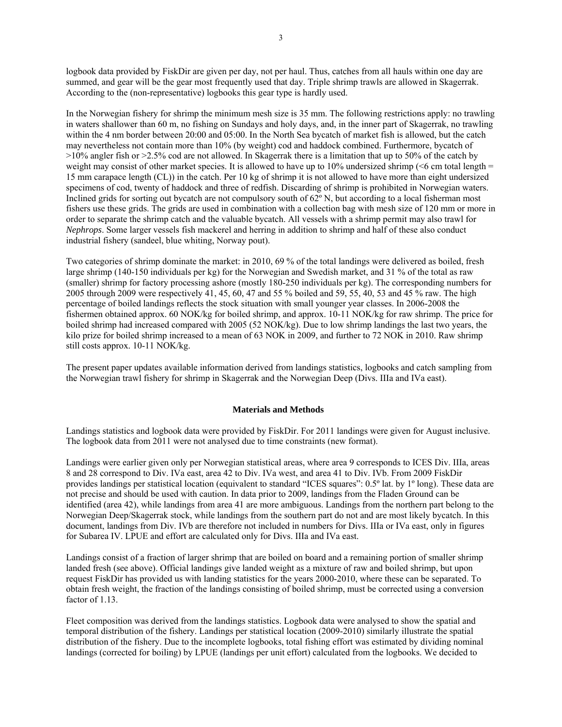logbook data provided by FiskDir are given per day, not per haul. Thus, catches from all hauls within one day are summed, and gear will be the gear most frequently used that day. Triple shrimp trawls are allowed in Skagerrak. According to the (non-representative) logbooks this gear type is hardly used.

In the Norwegian fishery for shrimp the minimum mesh size is 35 mm. The following restrictions apply: no trawling in waters shallower than 60 m, no fishing on Sundays and holy days, and, in the inner part of Skagerrak, no trawling within the 4 nm border between 20:00 and 05:00. In the North Sea bycatch of market fish is allowed, but the catch may nevertheless not contain more than 10% (by weight) cod and haddock combined. Furthermore, bycatch of >10% angler fish or >2.5% cod are not allowed. In Skagerrak there is a limitation that up to 50% of the catch by weight may consist of other market species. It is allowed to have up to 10% undersized shrimp (<6 cm total length = 15 mm carapace length (CL)) in the catch. Per 10 kg of shrimp it is not allowed to have more than eight undersized specimens of cod, twenty of haddock and three of redfish. Discarding of shrimp is prohibited in Norwegian waters. Inclined grids for sorting out bycatch are not compulsory south of  $62^\circ$  N, but according to a local fisherman most fishers use these grids. The grids are used in combination with a collection bag with mesh size of 120 mm or more in order to separate the shrimp catch and the valuable bycatch. All vessels with a shrimp permit may also trawl for *Nephrops*. Some larger vessels fish mackerel and herring in addition to shrimp and half of these also conduct industrial fishery (sandeel, blue whiting, Norway pout).

Two categories of shrimp dominate the market: in 2010, 69 % of the total landings were delivered as boiled, fresh large shrimp (140-150 individuals per kg) for the Norwegian and Swedish market, and 31 % of the total as raw (smaller) shrimp for factory processing ashore (mostly 180-250 individuals per kg). The corresponding numbers for 2005 through 2009 were respectively 41, 45, 60, 47 and 55 % boiled and 59, 55, 40, 53 and 45 % raw. The high percentage of boiled landings reflects the stock situation with small younger year classes. In 2006-2008 the fishermen obtained approx. 60 NOK/kg for boiled shrimp, and approx. 10-11 NOK/kg for raw shrimp. The price for boiled shrimp had increased compared with 2005 (52 NOK/kg). Due to low shrimp landings the last two years, the kilo prize for boiled shrimp increased to a mean of 63 NOK in 2009, and further to 72 NOK in 2010. Raw shrimp still costs approx. 10-11 NOK/kg.

The present paper updates available information derived from landings statistics, logbooks and catch sampling from the Norwegian trawl fishery for shrimp in Skagerrak and the Norwegian Deep (Divs. IIIa and IVa east).

## **Materials and Methods**

Landings statistics and logbook data were provided by FiskDir. For 2011 landings were given for August inclusive. The logbook data from 2011 were not analysed due to time constraints (new format).

Landings were earlier given only per Norwegian statistical areas, where area 9 corresponds to ICES Div. IIIa, areas 8 and 28 correspond to Div. IVa east, area 42 to Div. IVa west, and area 41 to Div. IVb. From 2009 FiskDir provides landings per statistical location (equivalent to standard "ICES squares": 0.5º lat. by 1º long). These data are not precise and should be used with caution. In data prior to 2009, landings from the Fladen Ground can be identified (area 42), while landings from area 41 are more ambiguous. Landings from the northern part belong to the Norwegian Deep/Skagerrak stock, while landings from the southern part do not and are most likely bycatch. In this document, landings from Div. IVb are therefore not included in numbers for Divs. IIIa or IVa east, only in figures for Subarea IV. LPUE and effort are calculated only for Divs. IIIa and IVa east.

Landings consist of a fraction of larger shrimp that are boiled on board and a remaining portion of smaller shrimp landed fresh (see above). Official landings give landed weight as a mixture of raw and boiled shrimp, but upon request FiskDir has provided us with landing statistics for the years 2000-2010, where these can be separated. To obtain fresh weight, the fraction of the landings consisting of boiled shrimp, must be corrected using a conversion factor of 1.13.

Fleet composition was derived from the landings statistics. Logbook data were analysed to show the spatial and temporal distribution of the fishery. Landings per statistical location (2009-2010) similarly illustrate the spatial distribution of the fishery. Due to the incomplete logbooks, total fishing effort was estimated by dividing nominal landings (corrected for boiling) by LPUE (landings per unit effort) calculated from the logbooks. We decided to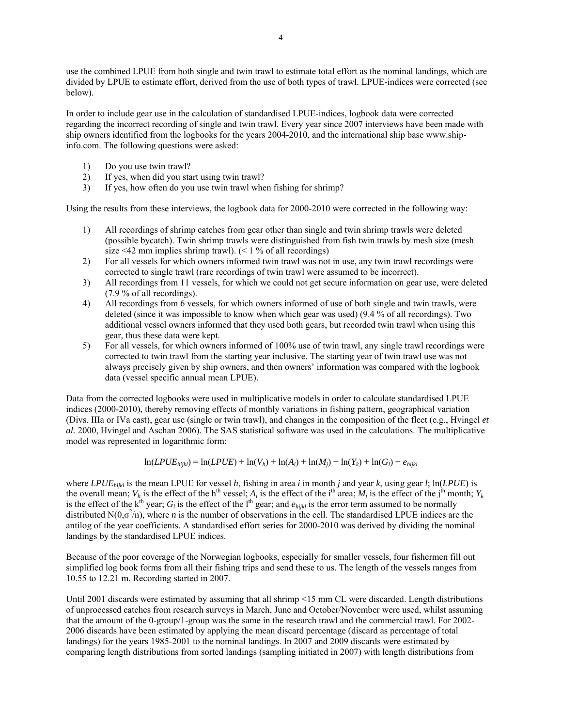use the combined LPUE from both single and twin trawl to estimate total effort as the nominal landings, which are divided by LPUE to estimate effort, derived from the use of both types of trawl. LPUE-indices were corrected (see below).

In order to include gear use in the calculation of standardised LPUE-indices, logbook data were corrected regarding the incorrect recording of single and twin trawl. Every year since 2007 interviews have been made with ship owners identified from the logbooks for the years 2004-2010, and the international ship base www.shipinfo.com. The following questions were asked:

- 1) Do you use twin trawl?
- 2) If yes, when did you start using twin trawl?
- 3) If yes, how often do you use twin trawl when fishing for shrimp?

Using the results from these interviews, the logbook data for 2000-2010 were corrected in the following way:

- 1) All recordings of shrimp catches from gear other than single and twin shrimp trawls were deleted (possible bycatch). Twin shrimp trawls were distinguished from fish twin trawls by mesh size (mesh size <42 mm implies shrimp trawl).  $($  < 1 % of all recordings)
- 2) For all vessels for which owners informed twin trawl was not in use, any twin trawl recordings were corrected to single trawl (rare recordings of twin trawl were assumed to be incorrect).
- 3) All recordings from 11 vessels, for which we could not get secure information on gear use, were deleted (7.9 % of all recordings).
- 4) All recordings from 6 vessels, for which owners informed of use of both single and twin trawls, were deleted (since it was impossible to know when which gear was used) (9.4 % of all recordings). Two additional vessel owners informed that they used both gears, but recorded twin trawl when using this gear, thus these data were kept.
- 5) For all vessels, for which owners informed of 100% use of twin trawl, any single trawl recordings were corrected to twin trawl from the starting year inclusive. The starting year of twin trawl use was not always precisely given by ship owners, and then owners' information was compared with the logbook data (vessel specific annual mean LPUE).

Data from the corrected logbooks were used in multiplicative models in order to calculate standardised LPUE indices (2000-2010), thereby removing effects of monthly variations in fishing pattern, geographical variation (Divs. IIIa or IVa east), gear use (single or twin trawl), and changes in the composition of the fleet (e.g., Hvingel *et al.* 2000, Hvingel and Aschan 2006). The SAS statistical software was used in the calculations. The multiplicative model was represented in logarithmic form:

 $ln(LPUE_{hijkl}) = ln(LPUE) + ln(V_h) + ln(A_i) + ln(M_i) + ln(Y_k) + ln(G_l) + e_{hijkl}$ 

where *LPUEhijkl* is the mean LPUE for vessel *h*, fishing in area *i* in month *j* and year *k*, using gear *l*; ln(*LPUE*) is the overall mean;  $V_h$  is the effect of the h<sup>th</sup> vessel;  $A_i$  is the effect of the i<sup>th</sup> area;  $M_j$  is the effect of the j<sup>th</sup> month;  $Y_k$ is the effect of the  $k^{\text{th}}$  year; *G<sub>l</sub>* is the effect of the l<sup>th</sup> gear; and  $e_{hijkl}$  is the error term assumed to be normally distributed  $N(0,\sigma^2/n)$ , where *n* is the number of observations in the cell. The standardised LPUE indices are the antilog of the year coefficients. A standardised effort series for 2000-2010 was derived by dividing the nominal landings by the standardised LPUE indices.

Because of the poor coverage of the Norwegian logbooks, especially for smaller vessels, four fishermen fill out simplified log book forms from all their fishing trips and send these to us. The length of the vessels ranges from 10.55 to 12.21 m. Recording started in 2007.

Until 2001 discards were estimated by assuming that all shrimp <15 mm CL were discarded. Length distributions of unprocessed catches from research surveys in March, June and October/November were used, whilst assuming that the amount of the 0-group/1-group was the same in the research trawl and the commercial trawl. For 2002- 2006 discards have been estimated by applying the mean discard percentage (discard as percentage of total landings) for the years 1985-2001 to the nominal landings. In 2007 and 2009 discards were estimated by comparing length distributions from sorted landings (sampling initiated in 2007) with length distributions from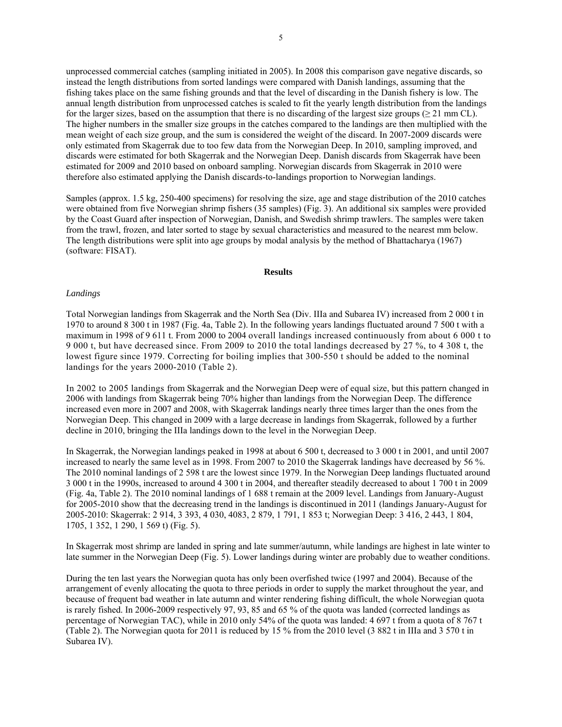unprocessed commercial catches (sampling initiated in 2005). In 2008 this comparison gave negative discards, so instead the length distributions from sorted landings were compared with Danish landings, assuming that the fishing takes place on the same fishing grounds and that the level of discarding in the Danish fishery is low. The annual length distribution from unprocessed catches is scaled to fit the yearly length distribution from the landings for the larger sizes, based on the assumption that there is no discarding of the largest size groups ( $\geq$  21 mm CL). The higher numbers in the smaller size groups in the catches compared to the landings are then multiplied with the mean weight of each size group, and the sum is considered the weight of the discard. In 2007-2009 discards were only estimated from Skagerrak due to too few data from the Norwegian Deep. In 2010, sampling improved, and discards were estimated for both Skagerrak and the Norwegian Deep. Danish discards from Skagerrak have been estimated for 2009 and 2010 based on onboard sampling. Norwegian discards from Skagerrak in 2010 were therefore also estimated applying the Danish discards-to-landings proportion to Norwegian landings.

Samples (approx. 1.5 kg, 250-400 specimens) for resolving the size, age and stage distribution of the 2010 catches were obtained from five Norwegian shrimp fishers (35 samples) (Fig. 3). An additional six samples were provided by the Coast Guard after inspection of Norwegian, Danish, and Swedish shrimp trawlers. The samples were taken from the trawl, frozen, and later sorted to stage by sexual characteristics and measured to the nearest mm below. The length distributions were split into age groups by modal analysis by the method of Bhattacharya (1967) (software: FISAT).

## **Results**

#### *Landings*

Total Norwegian landings from Skagerrak and the North Sea (Div. IIIa and Subarea IV) increased from 2 000 t in 1970 to around 8 300 t in 1987 (Fig. 4a, Table 2). In the following years landings fluctuated around 7 500 t with a maximum in 1998 of 9 611 t. From 2000 to 2004 overall landings increased continuously from about 6 000 t to 9 000 t, but have decreased since. From 2009 to 2010 the total landings decreased by 27 %, to 4 308 t, the lowest figure since 1979. Correcting for boiling implies that 300-550 t should be added to the nominal landings for the years 2000-2010 (Table 2).

In 2002 to 2005 landings from Skagerrak and the Norwegian Deep were of equal size, but this pattern changed in 2006 with landings from Skagerrak being 70% higher than landings from the Norwegian Deep. The difference increased even more in 2007 and 2008, with Skagerrak landings nearly three times larger than the ones from the Norwegian Deep. This changed in 2009 with a large decrease in landings from Skagerrak, followed by a further decline in 2010, bringing the IIIa landings down to the level in the Norwegian Deep.

In Skagerrak, the Norwegian landings peaked in 1998 at about 6 500 t, decreased to 3 000 t in 2001, and until 2007 increased to nearly the same level as in 1998. From 2007 to 2010 the Skagerrak landings have decreased by 56 %. The 2010 nominal landings of 2 598 t are the lowest since 1979. In the Norwegian Deep landings fluctuated around 3 000 t in the 1990s, increased to around 4 300 t in 2004, and thereafter steadily decreased to about 1 700 t in 2009 (Fig. 4a, Table 2). The 2010 nominal landings of 1 688 t remain at the 2009 level. Landings from January-August for 2005-2010 show that the decreasing trend in the landings is discontinued in 2011 (landings January-August for 2005-2010: Skagerrak: 2 914, 3 393, 4 030, 4083, 2 879, 1 791, 1 853 t; Norwegian Deep: 3 416, 2 443, 1 804, 1705, 1 352, 1 290, 1 569 t) (Fig. 5).

In Skagerrak most shrimp are landed in spring and late summer/autumn, while landings are highest in late winter to late summer in the Norwegian Deep (Fig. 5). Lower landings during winter are probably due to weather conditions.

During the ten last years the Norwegian quota has only been overfished twice (1997 and 2004). Because of the arrangement of evenly allocating the quota to three periods in order to supply the market throughout the year, and because of frequent bad weather in late autumn and winter rendering fishing difficult, the whole Norwegian quota is rarely fished. In 2006-2009 respectively 97, 93, 85 and 65 % of the quota was landed (corrected landings as percentage of Norwegian TAC), while in 2010 only 54% of the quota was landed: 4 697 t from a quota of 8 767 t (Table 2). The Norwegian quota for 2011 is reduced by 15 % from the 2010 level (3 882 t in IIIa and 3 570 t in Subarea IV).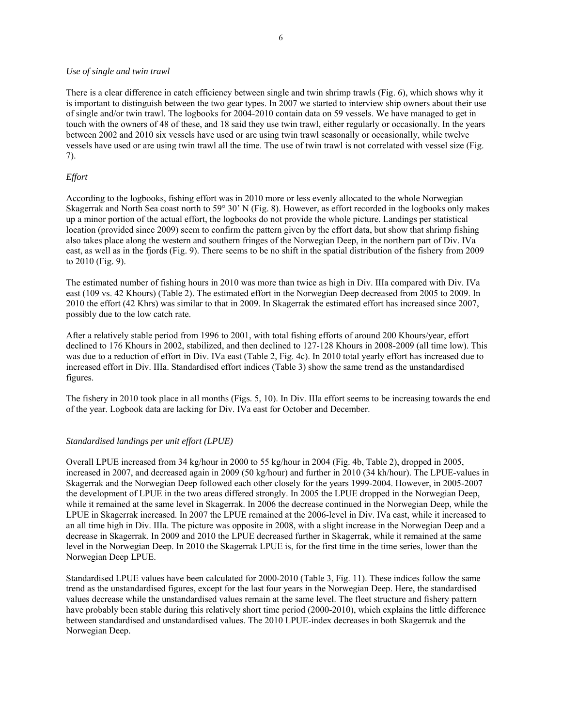### *Use of single and twin trawl*

There is a clear difference in catch efficiency between single and twin shrimp trawls (Fig. 6), which shows why it is important to distinguish between the two gear types. In 2007 we started to interview ship owners about their use of single and/or twin trawl. The logbooks for 2004-2010 contain data on 59 vessels. We have managed to get in touch with the owners of 48 of these, and 18 said they use twin trawl, either regularly or occasionally. In the years between 2002 and 2010 six vessels have used or are using twin trawl seasonally or occasionally, while twelve vessels have used or are using twin trawl all the time. The use of twin trawl is not correlated with vessel size (Fig. 7).

# *Effort*

According to the logbooks, fishing effort was in 2010 more or less evenly allocated to the whole Norwegian Skagerrak and North Sea coast north to 59° 30' N (Fig. 8). However, as effort recorded in the logbooks only makes up a minor portion of the actual effort, the logbooks do not provide the whole picture. Landings per statistical location (provided since 2009) seem to confirm the pattern given by the effort data, but show that shrimp fishing also takes place along the western and southern fringes of the Norwegian Deep, in the northern part of Div. IVa east, as well as in the fjords (Fig. 9). There seems to be no shift in the spatial distribution of the fishery from 2009 to 2010 (Fig. 9).

The estimated number of fishing hours in 2010 was more than twice as high in Div. IIIa compared with Div. IVa east (109 vs. 42 Khours) (Table 2). The estimated effort in the Norwegian Deep decreased from 2005 to 2009. In 2010 the effort (42 Khrs) was similar to that in 2009. In Skagerrak the estimated effort has increased since 2007, possibly due to the low catch rate.

After a relatively stable period from 1996 to 2001, with total fishing efforts of around 200 Khours/year, effort declined to 176 Khours in 2002, stabilized, and then declined to 127-128 Khours in 2008-2009 (all time low). This was due to a reduction of effort in Div. IVa east (Table 2, Fig. 4c). In 2010 total yearly effort has increased due to increased effort in Div. IIIa. Standardised effort indices (Table 3) show the same trend as the unstandardised figures.

The fishery in 2010 took place in all months (Figs. 5, 10). In Div. IIIa effort seems to be increasing towards the end of the year. Logbook data are lacking for Div. IVa east for October and December.

### *Standardised landings per unit effort (LPUE)*

Overall LPUE increased from 34 kg/hour in 2000 to 55 kg/hour in 2004 (Fig. 4b, Table 2), dropped in 2005, increased in 2007, and decreased again in 2009 (50 kg/hour) and further in 2010 (34 kh/hour). The LPUE-values in Skagerrak and the Norwegian Deep followed each other closely for the years 1999-2004. However, in 2005-2007 the development of LPUE in the two areas differed strongly. In 2005 the LPUE dropped in the Norwegian Deep, while it remained at the same level in Skagerrak. In 2006 the decrease continued in the Norwegian Deep, while the LPUE in Skagerrak increased. In 2007 the LPUE remained at the 2006-level in Div. IVa east, while it increased to an all time high in Div. IIIa. The picture was opposite in 2008, with a slight increase in the Norwegian Deep and a decrease in Skagerrak. In 2009 and 2010 the LPUE decreased further in Skagerrak, while it remained at the same level in the Norwegian Deep. In 2010 the Skagerrak LPUE is, for the first time in the time series, lower than the Norwegian Deep LPUE.

Standardised LPUE values have been calculated for 2000-2010 (Table 3, Fig. 11). These indices follow the same trend as the unstandardised figures, except for the last four years in the Norwegian Deep. Here, the standardised values decrease while the unstandardised values remain at the same level. The fleet structure and fishery pattern have probably been stable during this relatively short time period (2000-2010), which explains the little difference between standardised and unstandardised values. The 2010 LPUE-index decreases in both Skagerrak and the Norwegian Deep.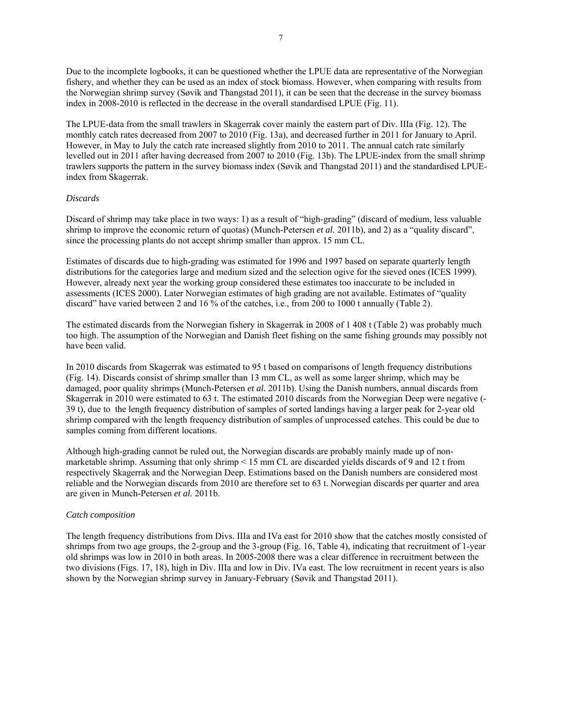Due to the incomplete logbooks, it can be questioned whether the LPUE data are representative of the Norwegian fishery, and whether they can be used as an index of stock biomass. However, when comparing with results from the Norwegian shrimp survey (Søvik and Thangstad 2011), it can be seen that the decrease in the survey biomass index in 2008-2010 is reflected in the decrease in the overall standardised LPUE (Fig. 11).

The LPUE-data from the small trawlers in Skagerrak cover mainly the eastern part of Div. IIIa (Fig. 12). The monthly catch rates decreased from 2007 to 2010 (Fig. 13a), and decreased further in 2011 for January to April. However, in May to July the catch rate increased slightly from 2010 to 2011. The annual catch rate similarly levelled out in 2011 after having decreased from 2007 to 2010 (Fig. 13b). The LPUE-index from the small shrimp trawlers supports the pattern in the survey biomass index (Søvik and Thangstad 2011) and the standardised LPUEindex from Skagerrak.

### *Discards*

Discard of shrimp may take place in two ways: 1) as a result of "high-grading" (discard of medium, less valuable shrimp to improve the economic return of quotas) (Munch-Petersen *et al.* 2011b), and 2) as a "quality discard", since the processing plants do not accept shrimp smaller than approx. 15 mm CL.

Estimates of discards due to high-grading was estimated for 1996 and 1997 based on separate quarterly length distributions for the categories large and medium sized and the selection ogive for the sieved ones (ICES 1999). However, already next year the working group considered these estimates too inaccurate to be included in assessments (ICES 2000). Later Norwegian estimates of high grading are not available. Estimates of "quality discard" have varied between 2 and 16 % of the catches, i.e., from 200 to 1000 t annually (Table 2).

The estimated discards from the Norwegian fishery in Skagerrak in 2008 of 1 408 t (Table 2) was probably much too high. The assumption of the Norwegian and Danish fleet fishing on the same fishing grounds may possibly not have been valid.

In 2010 discards from Skagerrak was estimated to 95 t based on comparisons of length frequency distributions (Fig. 14). Discards consist of shrimp smaller than 13 mm CL, as well as some larger shrimp, which may be damaged, poor quality shrimps (Munch-Petersen *et al.* 2011b). Using the Danish numbers, annual discards from Skagerrak in 2010 were estimated to 63 t. The estimated 2010 discards from the Norwegian Deep were negative (- 39 t), due to the length frequency distribution of samples of sorted landings having a larger peak for 2-year old shrimp compared with the length frequency distribution of samples of unprocessed catches. This could be due to samples coming from different locations.

Although high-grading cannot be ruled out, the Norwegian discards are probably mainly made up of nonmarketable shrimp. Assuming that only shrimp < 15 mm CL are discarded yields discards of 9 and 12 t from respectively Skagerrak and the Norwegian Deep. Estimations based on the Danish numbers are considered most reliable and the Norwegian discards from 2010 are therefore set to 63 t. Norwegian discards per quarter and area are given in Munch-Petersen *et al.* 2011b.

### *Catch composition*

The length frequency distributions from Divs. IIIa and IVa east for 2010 show that the catches mostly consisted of shrimps from two age groups, the 2-group and the 3-group (Fig. 16, Table 4), indicating that recruitment of 1-year old shrimps was low in 2010 in both areas. In 2005-2008 there was a clear difference in recruitment between the two divisions (Figs. 17, 18), high in Div. IIIa and low in Div. IVa east. The low recruitment in recent years is also shown by the Norwegian shrimp survey in January-February (Søvik and Thangstad 2011).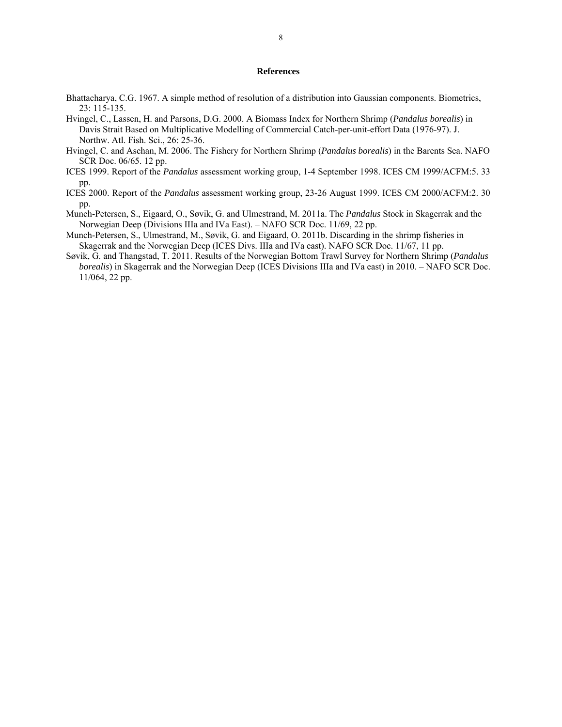### **References**

- Bhattacharya, C.G. 1967. A simple method of resolution of a distribution into Gaussian components. Biometrics, 23: 115-135.
- Hvingel, C., Lassen, H. and Parsons, D.G. 2000. A Biomass Index for Northern Shrimp (*Pandalus borealis*) in Davis Strait Based on Multiplicative Modelling of Commercial Catch-per-unit-effort Data (1976-97). J. Northw. Atl. Fish. Sci., 26: 25-36.
- Hvingel, C. and Aschan, M. 2006. The Fishery for Northern Shrimp (*Pandalus borealis*) in the Barents Sea. NAFO SCR Doc. 06/65. 12 pp.
- ICES 1999. Report of the *Pandalus* assessment working group, 1-4 September 1998. ICES CM 1999/ACFM:5. 33 pp.
- ICES 2000. Report of the *Pandalus* assessment working group, 23-26 August 1999. ICES CM 2000/ACFM:2. 30 pp.
- Munch-Petersen, S., Eigaard, O., Søvik, G. and Ulmestrand, M. 2011a. The *Pandalus* Stock in Skagerrak and the Norwegian Deep (Divisions IIIa and IVa East). – NAFO SCR Doc. 11/69, 22 pp.
- Munch-Petersen, S., Ulmestrand, M., Søvik, G. and Eigaard, O. 2011b. Discarding in the shrimp fisheries in Skagerrak and the Norwegian Deep (ICES Divs. IIIa and IVa east). NAFO SCR Doc. 11/67, 11 pp.
- Søvik, G. and Thangstad, T. 2011. Results of the Norwegian Bottom Trawl Survey for Northern Shrimp (*Pandalus borealis*) in Skagerrak and the Norwegian Deep (ICES Divisions IIIa and IVa east) in 2010. – NAFO SCR Doc. 11/064, 22 pp.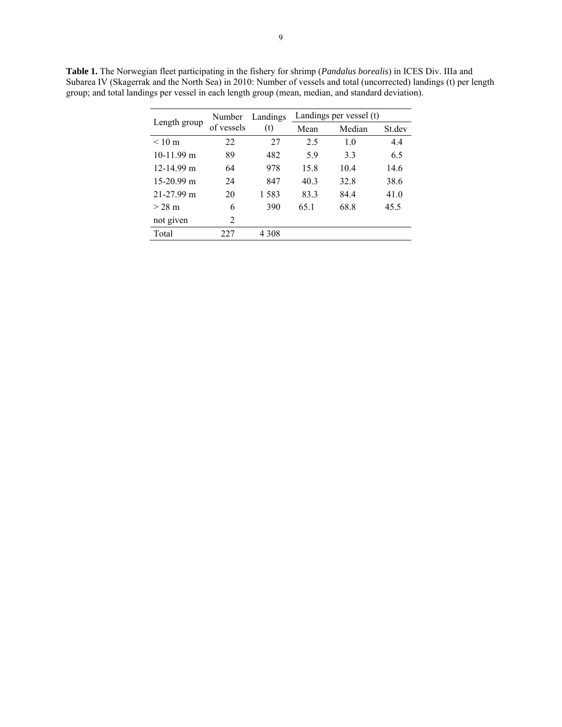|                  | Number     | Landings | Landings per vessel (t) |      |        |
|------------------|------------|----------|-------------------------|------|--------|
| Length group     | of vessels | (t)      | Median<br>Mean          |      | St.dev |
| $< 10 \text{ m}$ | 22         | 27       | 2.5                     | 1.0  | 4.4    |
| $10-11.99$ m     | 89         | 482      | 5.9                     | 33   | 6.5    |
| $12-14.99$ m     | 64         | 978      | 15.8                    | 10.4 | 14.6   |
| $15-20.99$ m     | 24         | 847      | 40.3                    | 32.8 | 38.6   |
| $21 - 27.99$ m   | 20         | 1583     | 83.3                    | 84.4 | 41.0   |
| $>$ 28 m         | 6          | 390      | 65.1                    | 68.8 | 45.5   |
| not given        | 2          |          |                         |      |        |
| Total            | 227        | 4 308    |                         |      |        |

**Table 1.** The Norwegian fleet participating in the fishery for shrimp (*Pandalus borealis*) in ICES Div. IIIa and Subarea IV (Skagerrak and the North Sea) in 2010: Number of vessels and total (uncorrected) landings (t) per length group; and total landings per vessel in each length group (mean, median, and standard deviation).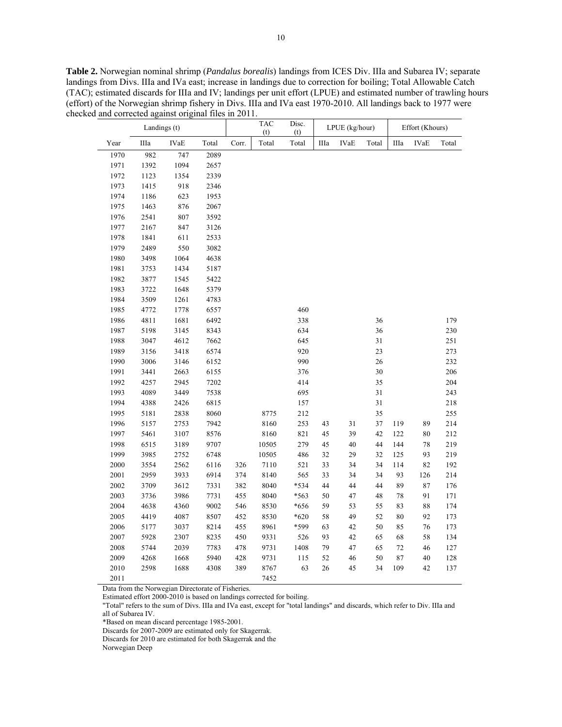**Table 2.** Norwegian nominal shrimp (*Pandalus borealis*) landings from ICES Div. IIIa and Subarea IV; separate landings from Divs. IIIa and IVa east; increase in landings due to correction for boiling; Total Allowable Catch (TAC); estimated discards for IIIa and IV; landings per unit effort (LPUE) and estimated number of trawling hours (effort) of the Norwegian shrimp fishery in Divs. IIIa and IVa east 1970-2010. All landings back to 1977 were checked and corrected against original files in 2011.

| Landings (t) |            |      |       | <b>TAC</b><br>(t) | Disc.<br>(t) | LPUE (kg/hour) |      |             | Effort (Khours) |          |             |       |
|--------------|------------|------|-------|-------------------|--------------|----------------|------|-------------|-----------------|----------|-------------|-------|
| Year         | $\rm IIIa$ | IVaE | Total | Corr.             | Total        | Total          | IIIa | <b>IVaE</b> | Total           | IIIa     | <b>IVaE</b> | Total |
| 1970         | 982        | 747  | 2089  |                   |              |                |      |             |                 |          |             |       |
| 1971         | 1392       | 1094 | 2657  |                   |              |                |      |             |                 |          |             |       |
| 1972         | 1123       | 1354 | 2339  |                   |              |                |      |             |                 |          |             |       |
| 1973         | 1415       | 918  | 2346  |                   |              |                |      |             |                 |          |             |       |
| 1974         | 1186       | 623  | 1953  |                   |              |                |      |             |                 |          |             |       |
| 1975         | 1463       | 876  | 2067  |                   |              |                |      |             |                 |          |             |       |
| 1976         | 2541       | 807  | 3592  |                   |              |                |      |             |                 |          |             |       |
| 1977         | 2167       | 847  | 3126  |                   |              |                |      |             |                 |          |             |       |
| 1978         | 1841       | 611  | 2533  |                   |              |                |      |             |                 |          |             |       |
| 1979         | 2489       | 550  | 3082  |                   |              |                |      |             |                 |          |             |       |
| 1980         | 3498       | 1064 | 4638  |                   |              |                |      |             |                 |          |             |       |
| 1981         | 3753       | 1434 | 5187  |                   |              |                |      |             |                 |          |             |       |
| 1982         | 3877       | 1545 | 5422  |                   |              |                |      |             |                 |          |             |       |
| 1983         | 3722       | 1648 | 5379  |                   |              |                |      |             |                 |          |             |       |
| 1984         | 3509       | 1261 | 4783  |                   |              |                |      |             |                 |          |             |       |
| 1985         | 4772       | 1778 | 6557  |                   |              | 460            |      |             |                 |          |             |       |
| 1986         | 4811       | 1681 | 6492  |                   |              | 338            |      |             | 36              |          |             | 179   |
| 1987         | 5198       | 3145 | 8343  |                   |              | 634            |      |             | 36              |          |             | 230   |
| 1988         | 3047       | 4612 | 7662  |                   |              | 645            |      |             | 31              |          |             | 251   |
| 1989         | 3156       | 3418 | 6574  |                   |              | 920            |      |             | 23              |          |             | 273   |
| 1990         | 3006       | 3146 | 6152  |                   |              | 990            |      |             | 26              |          |             | 232   |
| 1991         | 3441       | 2663 | 6155  |                   |              | 376            |      |             | 30              |          |             | 206   |
| 1992         | 4257       | 2945 | 7202  |                   |              | 414            |      |             | 35              |          |             | 204   |
| 1993         | 4089       | 3449 | 7538  |                   |              | 695            |      |             | $31\,$          |          |             | 243   |
| 1994         | 4388       | 2426 | 6815  |                   |              | 157            |      |             | 31              |          |             | 218   |
| 1995         | 5181       | 2838 | 8060  |                   | 8775         | 212            |      |             | 35              |          |             | 255   |
| 1996         | 5157       | 2753 | 7942  |                   | 8160         | 253            | 43   | 31          | 37              | 119      | 89          | 214   |
| 1997         | 5461       | 3107 | 8576  |                   | 8160         | 821            | 45   | 39          | 42              | 122      | 80          | 212   |
| 1998         | 6515       | 3189 | 9707  |                   | 10505        | 279            | 45   | 40          | 44              | 144      | 78          | 219   |
| 1999         | 3985       | 2752 | 6748  |                   | 10505        | 486            | 32   | 29          | 32              | 125      | 93          | 219   |
| 2000         | 3554       | 2562 | 6116  | 326               | 7110         | 521            | 33   | 34          | 34              | 114      | 82          | 192   |
| 2001         | 2959       | 3933 | 6914  | 374               | 8140         | 565            | 33   | 34          | 34              | 93       | 126         | 214   |
| 2002         | 3709       | 3612 | 7331  | 382               | 8040         | *534           | 44   | 44          | 44              | 89       | 87          | 176   |
| 2003         | 3736       | 3986 | 7731  | 455               | 8040         | *563           | 50   | 47          | 48              | $78\,$   | 91          | 171   |
| 2004         | 4638       | 4360 | 9002  | 546               | 8530         | *656           | 59   | 53          | 55              | 83       | 88          | 174   |
| 2005         | 4419       | 4087 | 8507  | 452               | 8530         | $*620$         | 58   | 49          | 52              | 80       | 92          | 173   |
| 2006         | 5177       | 3037 | 8214  | 455               | 8961         | *599           | 63   | 42          | 50              | 85       | 76          | 173   |
| 2007         | 5928       | 2307 | 8235  | 450               | 9331         | 526            | 93   | 42          | 65              | 68       | 58          | 134   |
| 2008         | 5744       | 2039 | 7783  | 478               | 9731         | 1408           | 79   | 47          | 65              | 72       | 46          | 127   |
| 2009         | 4268       | 1668 | 5940  | 428               | 9731         | 115            | 52   | $46\,$      | 50              | $\bf 87$ | $40\,$      | 128   |
| 2010         | 2598       | 1688 | 4308  | 389               | 8767         | 63             | 26   | 45          | 34              | 109      | 42          | 137   |
| 2011         |            |      |       |                   | 7452         |                |      |             |                 |          |             |       |

Data from the Norwegian Directorate of Fisheries.

Estimated effort 2000-2010 is based on landings corrected for boiling.

"Total" refers to the sum of Divs. IIIa and IVa east, except for "total landings" and discards, which refer to Div. IIIa and all of Subarea IV.

\*Based on mean discard percentage 1985-2001.

Discards for 2007-2009 are estimated only for Skagerrak.

Discards for 2010 are estimated for both Skagerrak and the

Norwegian Deep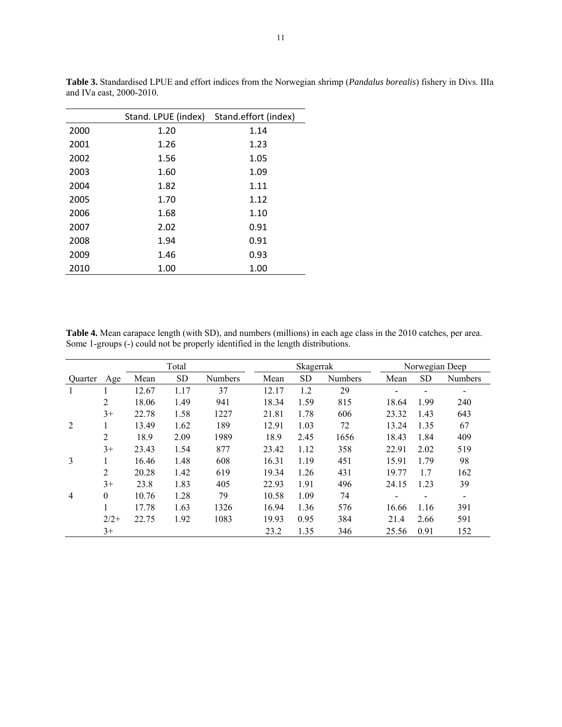|      | Stand. LPUE (index) | Stand.effort (index) |
|------|---------------------|----------------------|
| 2000 | 1.20                | 1.14                 |
| 2001 | 1.26                | 1.23                 |
| 2002 | 1.56                | 1.05                 |
| 2003 | 1.60                | 1.09                 |
| 2004 | 1.82                | 1.11                 |
| 2005 | 1.70                | 1.12                 |
| 2006 | 1.68                | 1.10                 |
| 2007 | 2.02                | 0.91                 |
| 2008 | 1.94                | 0.91                 |
| 2009 | 1.46                | 0.93                 |
| 2010 | 1.00                | 1.00                 |

**Table 3.** Standardised LPUE and effort indices from the Norwegian shrimp (*Pandalus borealis*) fishery in Divs. IIIa and IVa east, 2000-2010.

**Table 4.** Mean carapace length (with SD), and numbers (millions) in each age class in the 2010 catches, per area. Some 1-groups (-) could not be properly identified in the length distributions.

|         |          | Total |           |                |       | Skagerrak |                |       | Norwegian Deep |                          |  |
|---------|----------|-------|-----------|----------------|-------|-----------|----------------|-------|----------------|--------------------------|--|
| Quarter | Age      | Mean  | <b>SD</b> | <b>Numbers</b> | Mean  | <b>SD</b> | <b>Numbers</b> | Mean  | <b>SD</b>      | <b>Numbers</b>           |  |
|         |          | 12.67 | 1.17      | 37             | 12.17 | 1.2       | 29             | -     | -              | -                        |  |
|         | 2        | 18.06 | 1.49      | 941            | 18.34 | 1.59      | 815            | 18.64 | 1.99           | 240                      |  |
|         | $3+$     | 22.78 | 1.58      | 1227           | 21.81 | 1.78      | 606            | 23.32 | 1.43           | 643                      |  |
| 2       | 1        | 13.49 | 1.62      | 189            | 12.91 | 1.03      | 72             | 13.24 | 1.35           | 67                       |  |
|         | 2        | 18.9  | 2.09      | 1989           | 18.9  | 2.45      | 1656           | 18.43 | 1.84           | 409                      |  |
|         | $3+$     | 23.43 | 1.54      | 877            | 23.42 | 1.12      | 358            | 22.91 | 2.02           | 519                      |  |
| 3       |          | 16.46 | 1.48      | 608            | 16.31 | 1.19      | 451            | 15.91 | 1.79           | 98                       |  |
|         | 2        | 20.28 | 1.42      | 619            | 19.34 | 1.26      | 431            | 19.77 | 1.7            | 162                      |  |
|         | $3+$     | 23.8  | 1.83      | 405            | 22.93 | 1.91      | 496            | 24.15 | 1.23           | 39                       |  |
| 4       | $\theta$ | 10.76 | 1.28      | 79             | 10.58 | 1.09      | 74             |       |                | $\overline{\phantom{a}}$ |  |
|         |          | 17.78 | 1.63      | 1326           | 16.94 | 1.36      | 576            | 16.66 | 1.16           | 391                      |  |
|         | $2/2+$   | 22.75 | 1.92      | 1083           | 19.93 | 0.95      | 384            | 21.4  | 2.66           | 591                      |  |
|         | $3+$     |       |           |                | 23.2  | 1.35      | 346            | 25.56 | 0.91           | 152                      |  |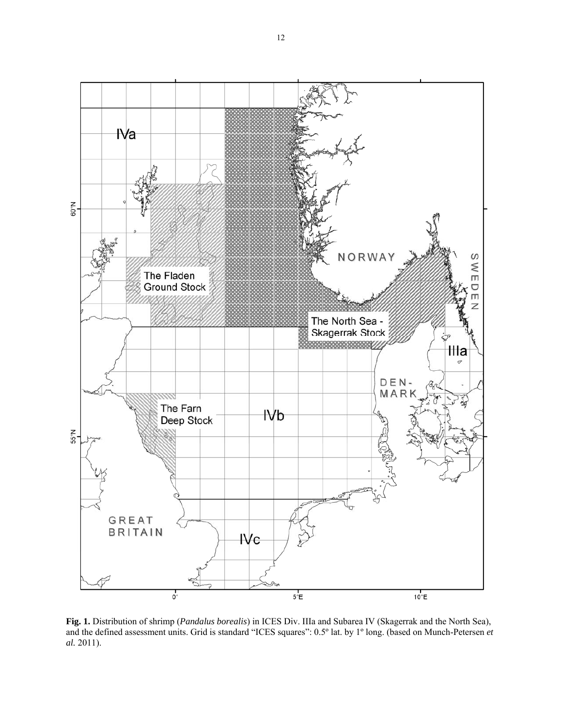

**Fig. 1.** Distribution of shrimp (*Pandalus borealis*) in ICES Div. IIIa and Subarea IV (Skagerrak and the North Sea), and the defined assessment units. Grid is standard "ICES squares": 0.5º lat. by 1º long. (based on Munch-Petersen *et al.* 2011).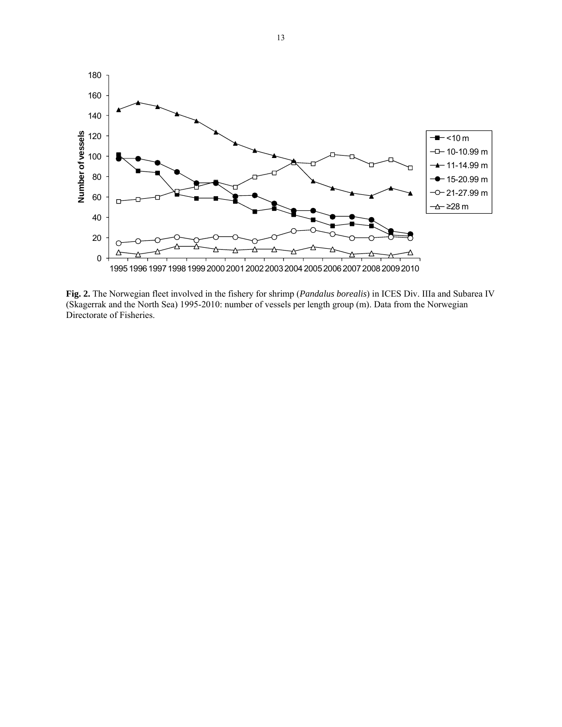

**Fig. 2.** The Norwegian fleet involved in the fishery for shrimp (*Pandalus borealis*) in ICES Div. IIIa and Subarea IV (Skagerrak and the North Sea) 1995-2010: number of vessels per length group (m). Data from the Norwegian Directorate of Fisheries.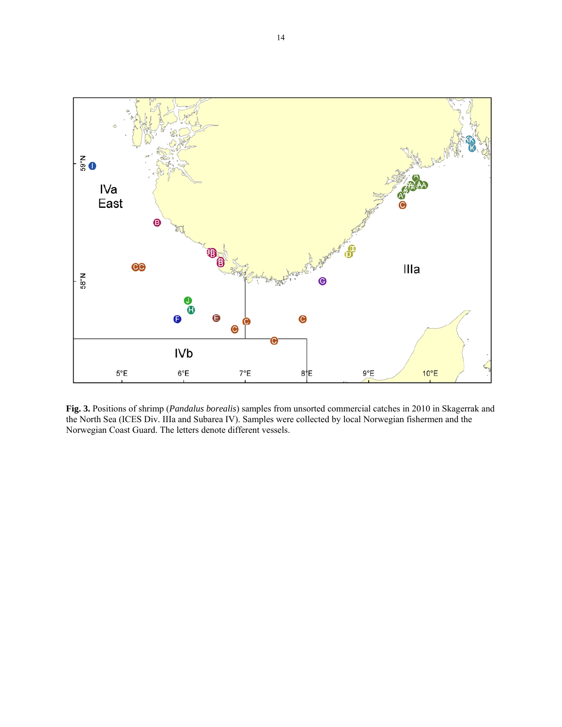

**Fig. 3.** Positions of shrimp (*Pandalus borealis*) samples from unsorted commercial catches in 2010 in Skagerrak and the North Sea (ICES Div. IIIa and Subarea IV). Samples were collected by local Norwegian fishermen and the Norwegian Coast Guard. The letters denote different vessels.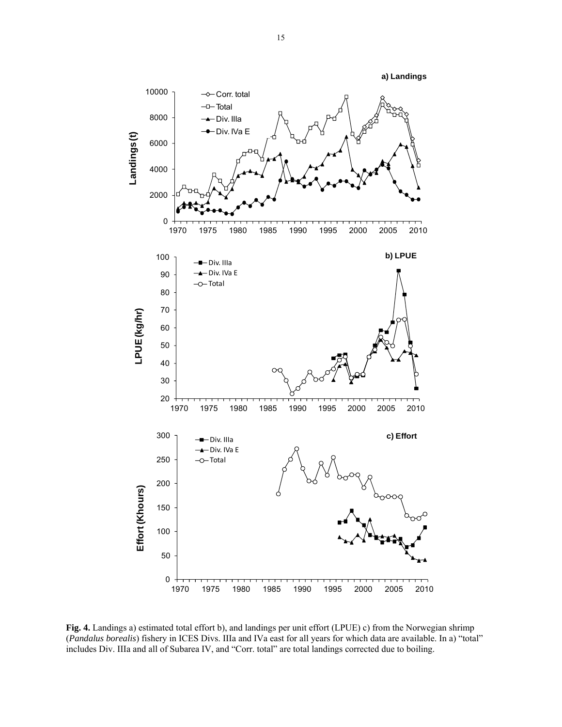

**Fig. 4.** Landings a) estimated total effort b), and landings per unit effort (LPUE) c) from the Norwegian shrimp (*Pandalus borealis*) fishery in ICES Divs. IIIa and IVa east for all years for which data are available. In a) "total" includes Div. IIIa and all of Subarea IV, and "Corr. total" are total landings corrected due to boiling.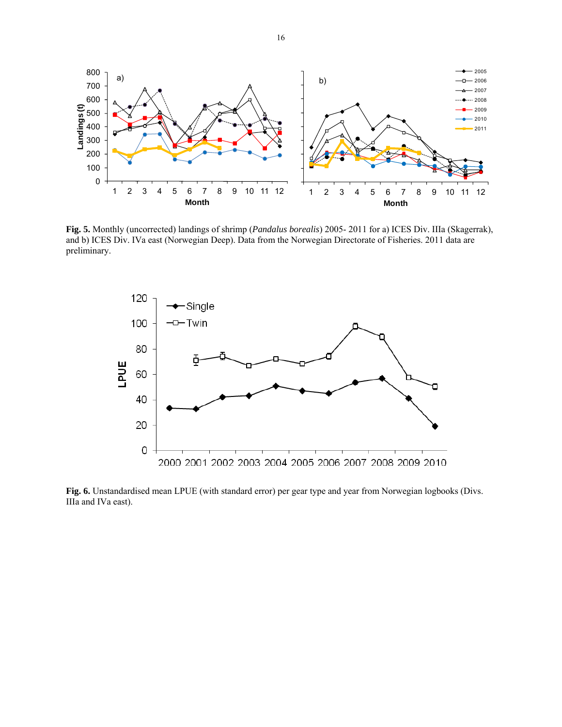

**Fig. 5.** Monthly (uncorrected) landings of shrimp (*Pandalus borealis*) 2005- 2011 for a) ICES Div. IIIa (Skagerrak), and b) ICES Div. IVa east (Norwegian Deep). Data from the Norwegian Directorate of Fisheries. 2011 data are preliminary.



**Fig. 6.** Unstandardised mean LPUE (with standard error) per gear type and year from Norwegian logbooks (Divs. IIIa and IVa east).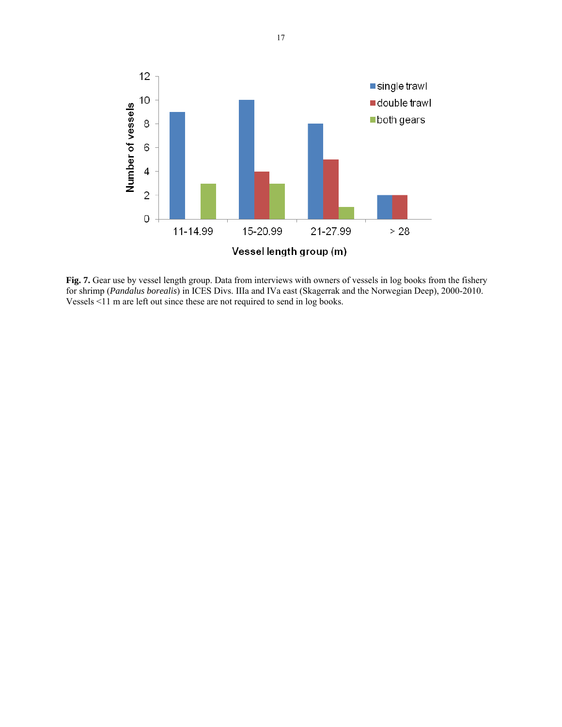

**Fig. 7.** Gear use by vessel length group. Data from interviews with owners of vessels in log books from the fishery for shrimp (*Pandalus borealis*) in ICES Divs. IIIa and IVa east (Skagerrak and the Norwegian Deep), 2000-2010. Vessels <11 m are left out since these are not required to send in log books.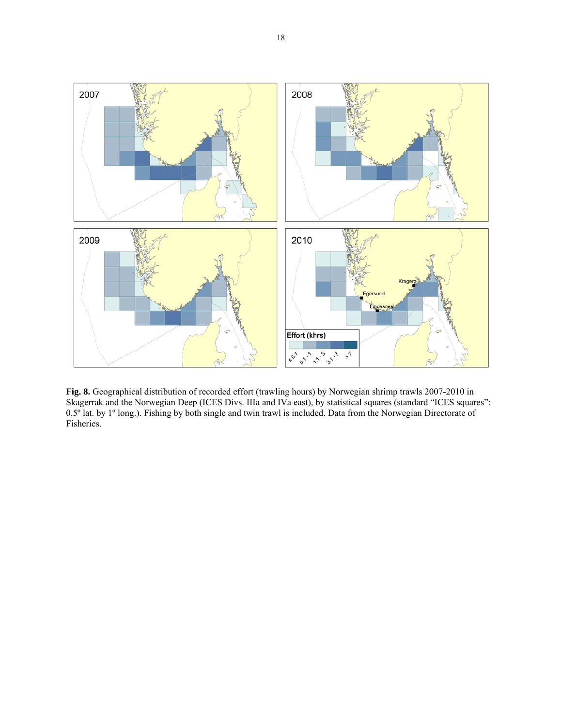

**Fig. 8.** Geographical distribution of recorded effort (trawling hours) by Norwegian shrimp trawls 2007-2010 in Skagerrak and the Norwegian Deep (ICES Divs. IIIa and IVa east), by statistical squares (standard "ICES squares": 0.5º lat. by 1º long.). Fishing by both single and twin trawl is included. Data from the Norwegian Directorate of Fisheries.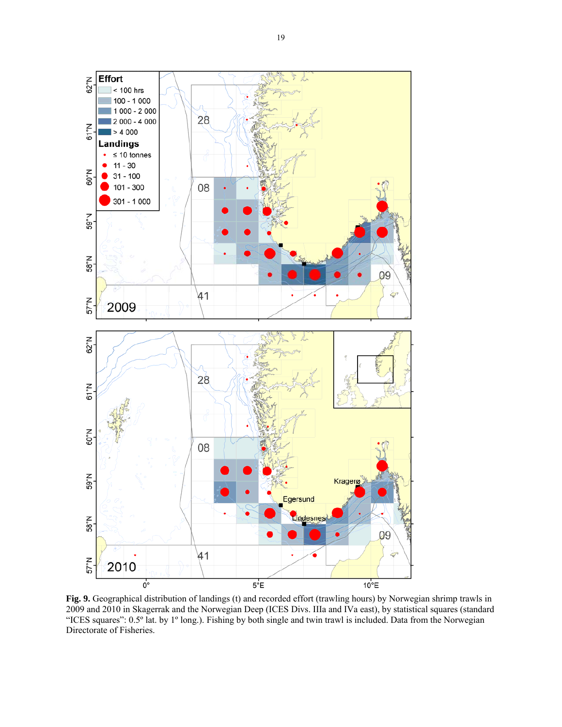

**Fig. 9.** Geographical distribution of landings (t) and recorded effort (trawling hours) by Norwegian shrimp trawls in 2009 and 2010 in Skagerrak and the Norwegian Deep (ICES Divs. IIIa and IVa east), by statistical squares (standard "ICES squares": 0.5° lat. by 1° long.). Fishing by both single and twin trawl is included. Data from the Norwegian Directorate of Fisheries.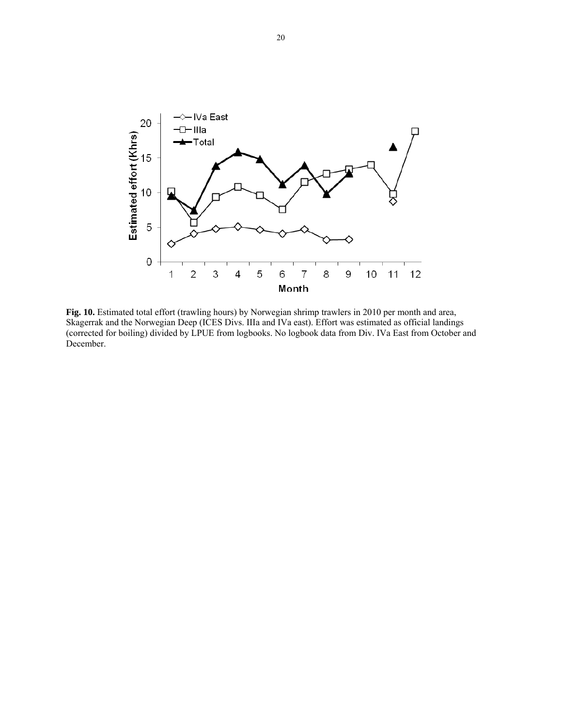

**Fig. 10.** Estimated total effort (trawling hours) by Norwegian shrimp trawlers in 2010 per month and area, Skagerrak and the Norwegian Deep (ICES Divs. IIIa and IVa east). Effort was estimated as official landings (corrected for boiling) divided by LPUE from logbooks. No logbook data from Div. IVa East from October and December.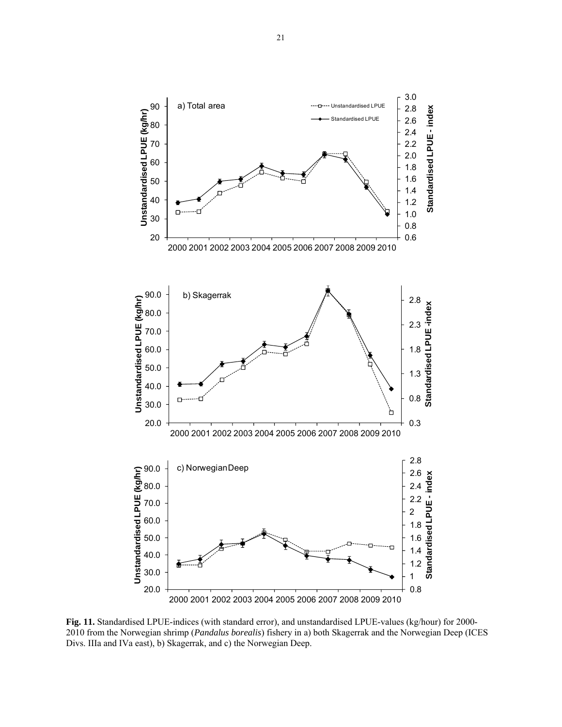

**Fig. 11.** Standardised LPUE-indices (with standard error), and unstandardised LPUE-values (kg/hour) for 2000- 2010 from the Norwegian shrimp (*Pandalus borealis*) fishery in a) both Skagerrak and the Norwegian Deep (ICES Divs. IIIa and IVa east), b) Skagerrak, and c) the Norwegian Deep.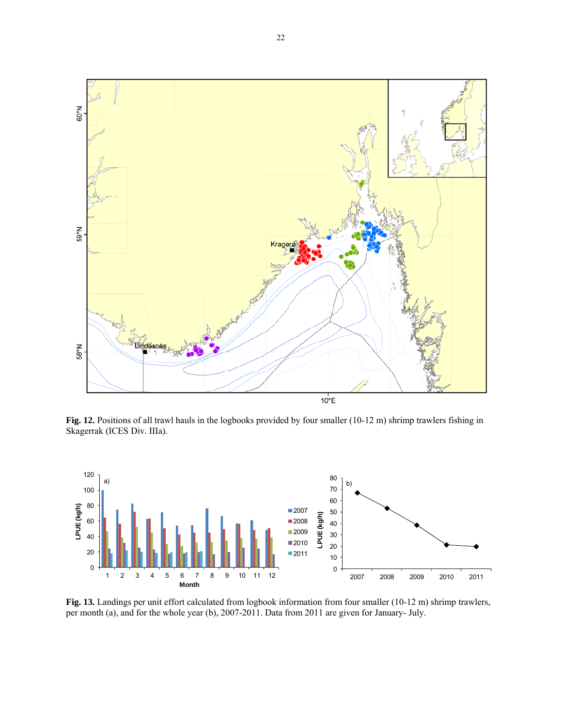

Fig. 12. Positions of all trawl hauls in the logbooks provided by four smaller (10-12 m) shrimp trawlers fishing in Skagerrak (ICES Div. IIIa).



**Fig. 13.** Landings per unit effort calculated from logbook information from four smaller (10-12 m) shrimp trawlers, per month (a), and for the whole year (b), 2007-2011. Data from 2011 are given for January- July.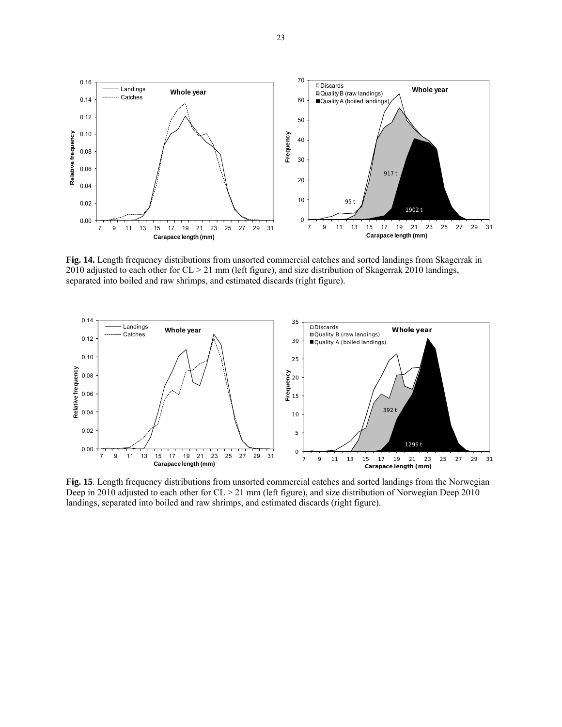

**Fig. 14.** Length frequency distributions from unsorted commercial catches and sorted landings from Skagerrak in 2010 adjusted to each other for CL > 21 mm (left figure), and size distribution of Skagerrak 2010 landings, separated into boiled and raw shrimps, and estimated discards (right figure).



**Fig. 15**. Length frequency distributions from unsorted commercial catches and sorted landings from the Norwegian Deep in 2010 adjusted to each other for CL > 21 mm (left figure), and size distribution of Norwegian Deep 2010 landings, separated into boiled and raw shrimps, and estimated discards (right figure).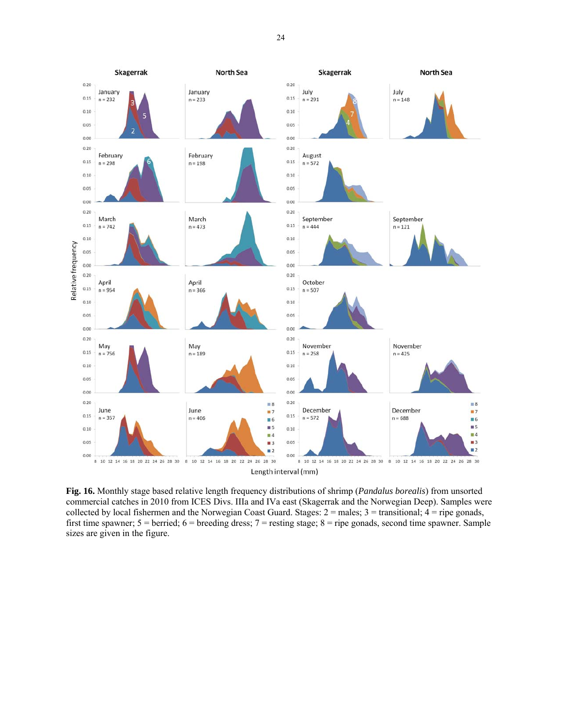

**Fig. 16.** Monthly stage based relative length frequency distributions of shrimp (*Pandalus borealis*) from unsorted commercial catches in 2010 from ICES Divs. IIIa and IVa east (Skagerrak and the Norwegian Deep). Samples were collected by local fishermen and the Norwegian Coast Guard. Stages:  $2 =$  males;  $3 =$  transitional;  $4 =$  ripe gonads, first time spawner;  $5 = \text{berried}$ ;  $6 = \text{breeding dress}$ ;  $7 = \text{resting stage}$ ;  $8 = \text{ripe gonads}$ , second time spawner. Sample sizes are given in the figure.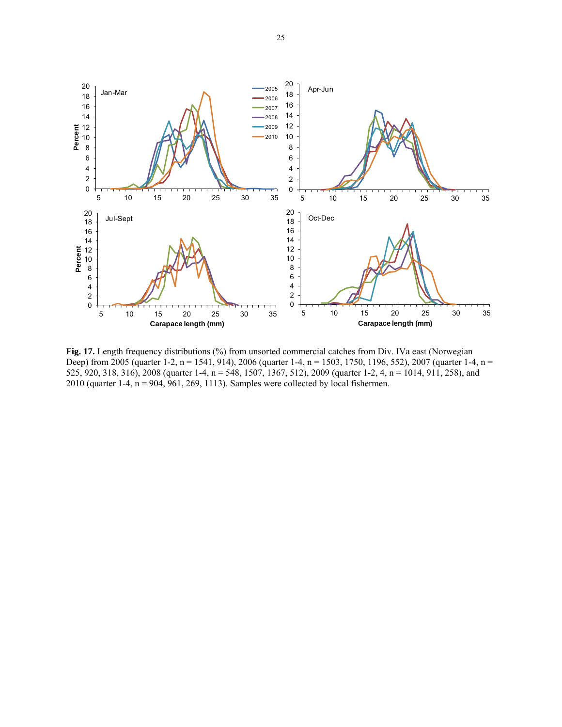

Fig. 17. Length frequency distributions (%) from unsorted commercial catches from Div. IVa east (Norwegian Deep) from 2005 (quarter 1-2, n = 1541, 914), 2006 (quarter 1-4, n = 1503, 1750, 1196, 552), 2007 (quarter 1-4, n = 525, 920, 318, 316), 2008 (quarter 1-4, n = 548, 1507, 1367, 512), 2009 (quarter 1-2, 4, n = 1014, 911, 258), and 2010 (quarter 1-4, n = 904, 961, 269, 1113). Samples were collected by local fishermen.